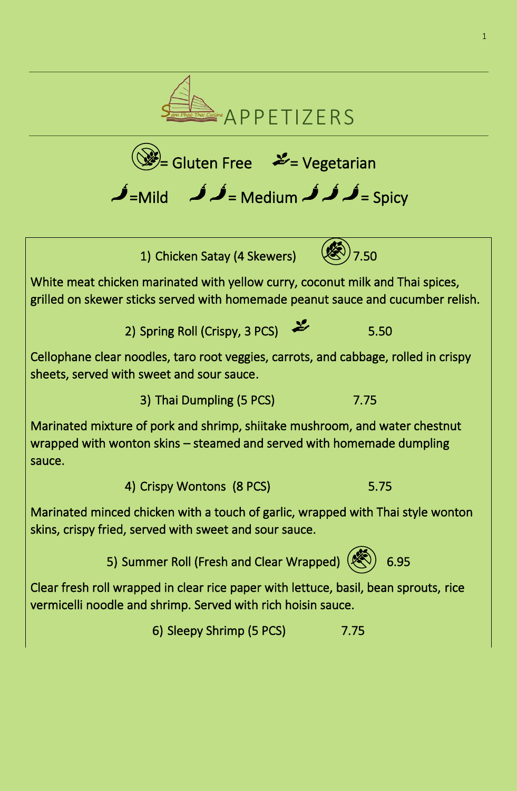

 $(\mathbb{W})$ = Gluten Free  $\mathcal{L}$  = Vegetarian

 $\hat{\mathcal{J}}$ =Mild  $\hat{\mathcal{J}}$  = Medium  $\hat{\mathcal{J}}$  = Spicy 1) Chicken Satay (4 Skewers)  $\sqrt{3}/7.50$ White meat chicken marinated with yellow curry, coconut milk and Thai spices, grilled on skewer sticks served with homemade peanut sauce and cucumber relish. 2) Spring Roll (Crispy, 3 PCS)  $\frac{25}{\sqrt{5}}$  5.50 Cellophane clear noodles, taro root veggies, carrots, and cabbage, rolled in crispy sheets, served with sweet and sour sauce. 3) Thai Dumpling (5 PCS) 7.75 Marinated mixture of pork and shrimp, shiitake mushroom, and water chestnut wrapped with wonton skins – steamed and served with homemade dumpling sauce.

4) Crispy Wontons (8 PCS) 6.75

Marinated minced chicken with a touch of garlic, wrapped with Thai style wonton skins, crispy fried, served with sweet and sour sauce.

5) Summer Roll (Fresh and Clear Wrapped)  $($ 

Clear fresh roll wrapped in clear rice paper with lettuce, basil, bean sprouts, rice vermicelli noodle and shrimp. Served with rich hoisin sauce.

6) Sleepy Shrimp (5 PCS) 7.75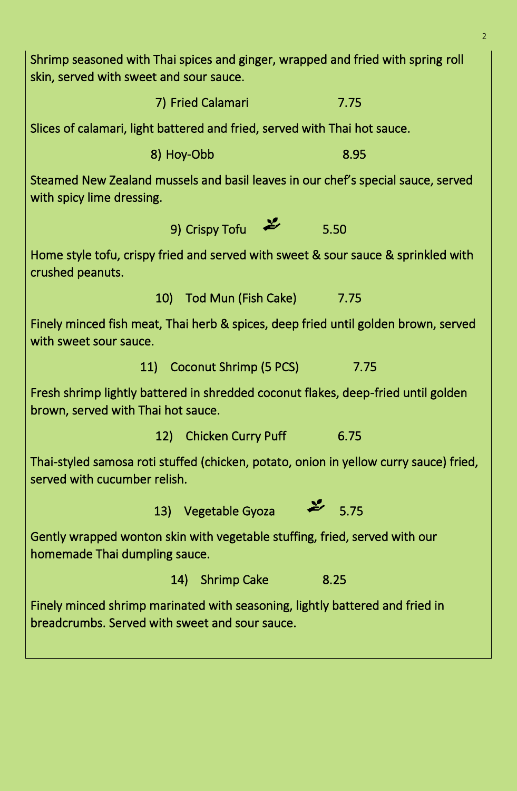Shrimp seasoned with Thai spices and ginger, wrapped and fried with spring roll skin, served with sweet and sour sauce.

7) Fried Calamari 7.75

Slices of calamari, light battered and fried, served with Thai hot sauce.

8) Hoy-Obb 8.95

Steamed New Zealand mussels and basil leaves in our chef's special sauce, served with spicy lime dressing.

9) Crispy Tofu  $\frac{1}{2}$  5.50

Home style tofu, crispy fried and served with sweet & sour sauce & sprinkled with crushed peanuts.

10) Tod Mun (Fish Cake) 7.75

Finely minced fish meat, Thai herb & spices, deep fried until golden brown, served with sweet sour sauce.

11) Coconut Shrimp (5 PCS) 7.75

Fresh shrimp lightly battered in shredded coconut flakes, deep-fried until golden brown, served with Thai hot sauce.

12) Chicken Curry Puff 6.75

Thai-styled samosa roti stuffed (chicken, potato, onion in yellow curry sauce) fried, served with cucumber relish.

13) Vegetable Gyoza 2 5.75

Gently wrapped wonton skin with vegetable stuffing, fried, served with our homemade Thai dumpling sauce.

14) Shrimp Cake 8.25

Finely minced shrimp marinated with seasoning, lightly battered and fried in breadcrumbs. Served with sweet and sour sauce.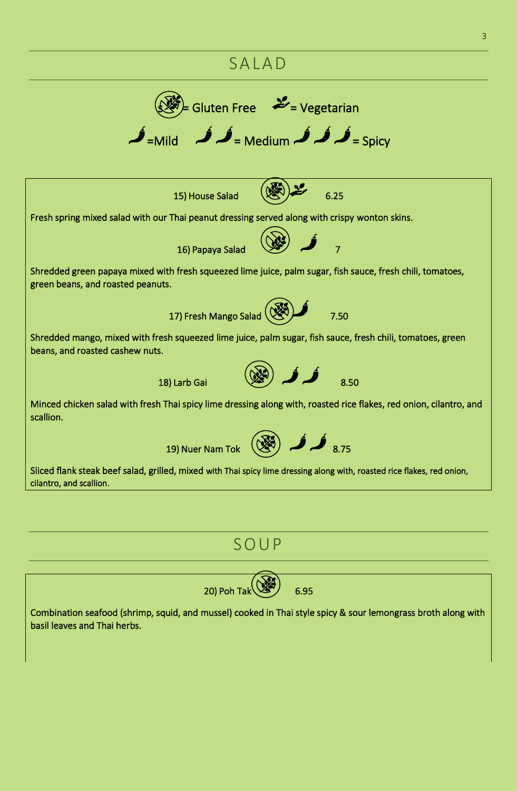## **SALAD**



### S O U P



Combination seafood (shrimp, squid, and mussel) cooked in Thai style spicy & sour lemongrass broth along with basil leaves and Thai herbs.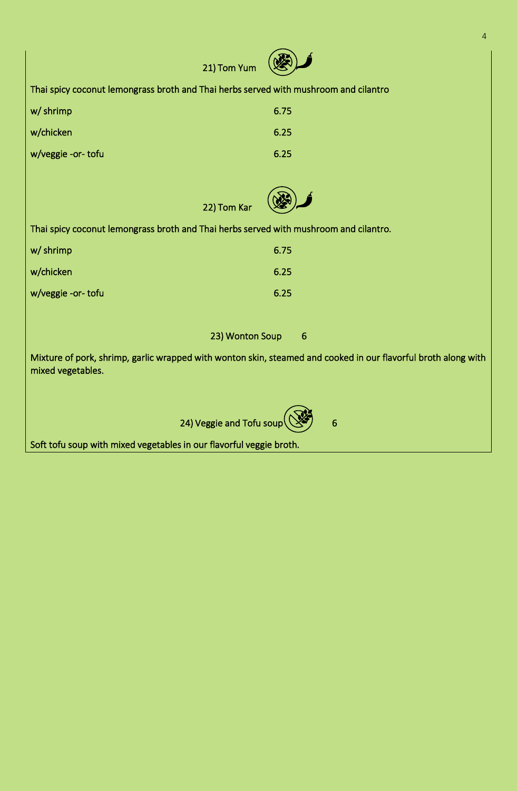| 21) Tom Yum                                                                                                                         |                                    |  |
|-------------------------------------------------------------------------------------------------------------------------------------|------------------------------------|--|
| Thai spicy coconut lemongrass broth and Thai herbs served with mushroom and cilantro                                                |                                    |  |
| w/ shrimp                                                                                                                           | 6.75                               |  |
| w/chicken                                                                                                                           | 6.25                               |  |
| w/veggie -or-tofu                                                                                                                   | 6.25                               |  |
|                                                                                                                                     |                                    |  |
| 22) Tom Kar                                                                                                                         |                                    |  |
| Thai spicy coconut lemongrass broth and Thai herbs served with mushroom and cilantro.                                               |                                    |  |
| w/ shrimp                                                                                                                           | 6.75                               |  |
| w/chicken                                                                                                                           | 6.25                               |  |
| w/veggie -or- tofu                                                                                                                  | 6.25                               |  |
|                                                                                                                                     |                                    |  |
|                                                                                                                                     | 23) Wonton Soup<br>$6\phantom{1}6$ |  |
| Mixture of pork, shrimp, garlic wrapped with wonton skin, steamed and cooked in our flavorful broth along with<br>mixed vegetables. |                                    |  |
|                                                                                                                                     |                                    |  |
| 24) Veggie and Tofu soup                                                                                                            | 6                                  |  |

4

Soft tofu soup with mixed vegetables in our flavorful veggie broth.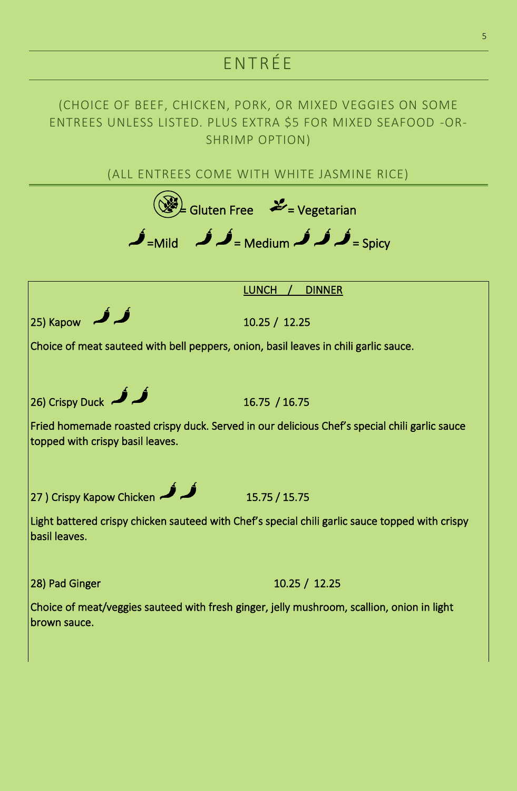# ENT R ÉE

#### (CHOICE OF BEEF, CHICKEN, PORK, OR MIXED VEGGIES ON SOME ENTREES UNLESS LISTED. PLUS EXTRA \$5 FOR MIXED SEAFOOD -OR-SHRIMP OPTION)

(ALL ENTREES COME WITH WHITE JASMINE RICE)

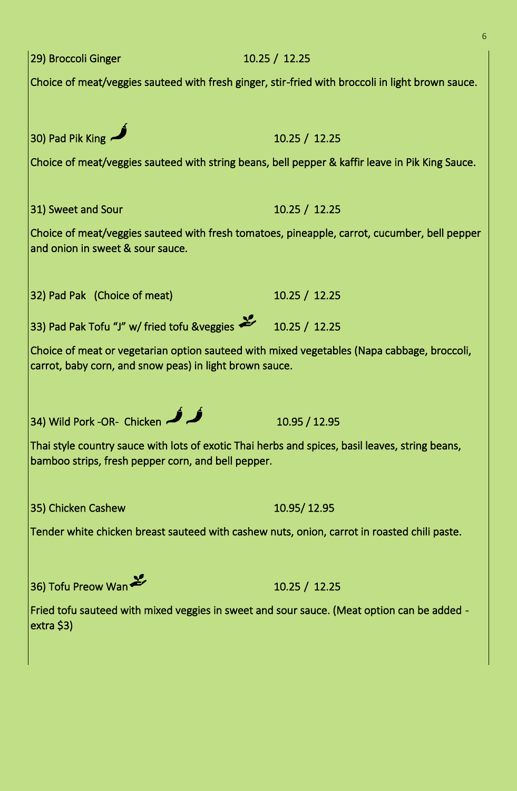| 29) Broccoli Ginger                                                                                                                                   | 10.25 / 12.25                                                                                   |
|-------------------------------------------------------------------------------------------------------------------------------------------------------|-------------------------------------------------------------------------------------------------|
| Choice of meat/veggies sauteed with fresh ginger, stir-fried with broccoli in light brown sauce.                                                      |                                                                                                 |
|                                                                                                                                                       |                                                                                                 |
| 30) Pad Pik King                                                                                                                                      | 10.25 / 12.25                                                                                   |
|                                                                                                                                                       | Choice of meat/veggies sauteed with string beans, bell pepper & kaffir leave in Pik King Sauce. |
|                                                                                                                                                       |                                                                                                 |
| 31) Sweet and Sour                                                                                                                                    | 10.25 / 12.25                                                                                   |
| Choice of meat/veggies sauteed with fresh tomatoes, pineapple, carrot, cucumber, bell pepper<br>and onion in sweet & sour sauce.                      |                                                                                                 |
| 32) Pad Pak (Choice of meat)                                                                                                                          | 10.25 / 12.25                                                                                   |
| 33) Pad Pak Tofu "J" w/ fried tofu &veggies                                                                                                           | 10.25 / 12.25                                                                                   |
| Choice of meat or vegetarian option sauteed with mixed vegetables (Napa cabbage, broccoli,<br>carrot, baby corn, and snow peas) in light brown sauce. |                                                                                                 |
|                                                                                                                                                       |                                                                                                 |
| 34) Wild Pork -OR- Chicken                                                                                                                            | 10.95 / 12.95                                                                                   |
| Thai style country sauce with lots of exotic Thai herbs and spices, basil leaves, string beans,<br>bamboo strips, fresh pepper corn, and bell pepper. |                                                                                                 |
| 35) Chicken Cashew                                                                                                                                    | 10.95/12.95                                                                                     |
|                                                                                                                                                       | Tender white chicken breast sauteed with cashew nuts, onion, carrot in roasted chili paste.     |
|                                                                                                                                                       |                                                                                                 |
| 36) Tofu Preow Wan                                                                                                                                    | 10.25 / 12.25                                                                                   |
| $extra$ \$3)                                                                                                                                          | Fried tofu sauteed with mixed veggies in sweet and sour sauce. (Meat option can be added -      |
|                                                                                                                                                       |                                                                                                 |

6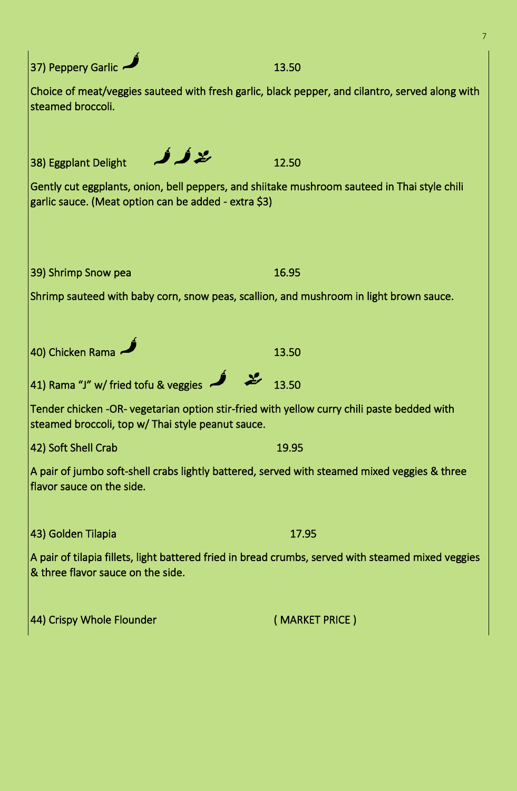| 37) Peppery Garlic                                                                                                                                   | 13.50          |  |
|------------------------------------------------------------------------------------------------------------------------------------------------------|----------------|--|
| Choice of meat/veggies sauteed with fresh garlic, black pepper, and cilantro, served along with<br>steamed broccoli.                                 |                |  |
| <u>لالاک</u><br>38) Eggplant Delight                                                                                                                 | 12.50          |  |
| Gently cut eggplants, onion, bell peppers, and shiitake mushroom sauteed in Thai style chili<br>garlic sauce. (Meat option can be added - extra \$3) |                |  |
| 39) Shrimp Snow pea                                                                                                                                  | 16.95          |  |
| Shrimp sauteed with baby corn, snow peas, scallion, and mushroom in light brown sauce.                                                               |                |  |
|                                                                                                                                                      |                |  |
| 40) Chicken Rama                                                                                                                                     | 13.50          |  |
| 41) Rama "J" w/ fried tofu & veggies                                                                                                                 | 13.50          |  |
| Tender chicken -OR- vegetarian option stir-fried with yellow curry chili paste bedded with<br>steamed broccoli, top w/Thai style peanut sauce.       |                |  |
| 42) Soft Shell Crab                                                                                                                                  | 19.95          |  |
| A pair of jumbo soft-shell crabs lightly battered, served with steamed mixed veggies & three<br>flavor sauce on the side.                            |                |  |
| 43) Golden Tilapia                                                                                                                                   | 17.95          |  |
| A pair of tilapia fillets, light battered fried in bread crumbs, served with steamed mixed veggies<br>& three flavor sauce on the side.              |                |  |
| 44) Crispy Whole Flounder                                                                                                                            | (MARKET PRICE) |  |

7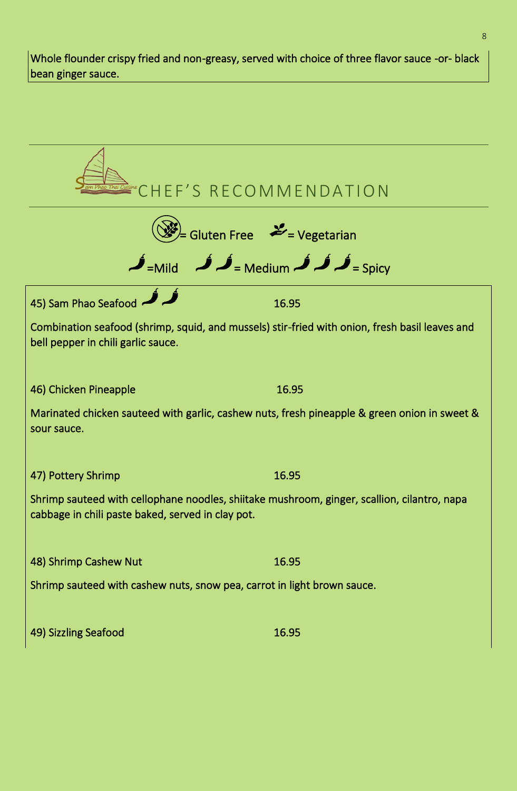Whole flounder crispy fried and non-greasy, served with choice of three flavor sauce -or- black bean ginger sauce.

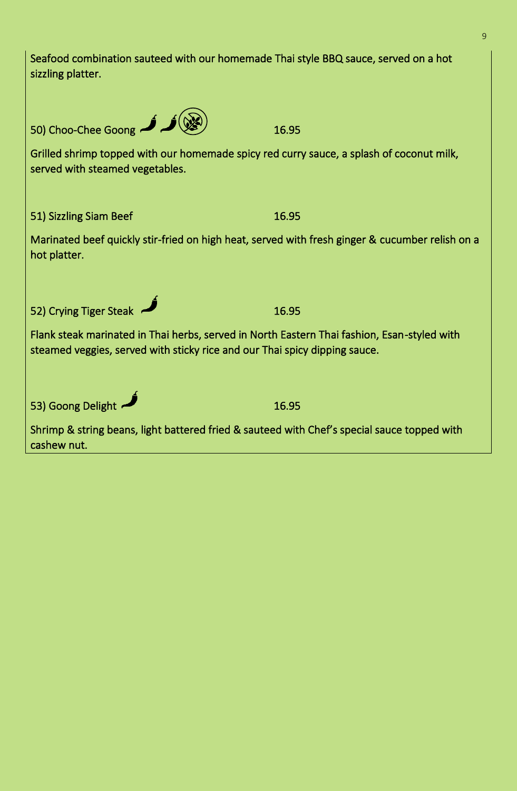| Seafood combination sauteed with our homemade Thai style BBQ sauce, served on a hot<br>sizzling platter.                                                                  |       |  |  |
|---------------------------------------------------------------------------------------------------------------------------------------------------------------------------|-------|--|--|
| 50) Choo-Chee Goong                                                                                                                                                       | 16.95 |  |  |
| Grilled shrimp topped with our homemade spicy red curry sauce, a splash of coconut milk,<br>served with steamed vegetables.                                               |       |  |  |
| 51) Sizzling Siam Beef                                                                                                                                                    | 16.95 |  |  |
| Marinated beef quickly stir-fried on high heat, served with fresh ginger & cucumber relish on a<br>hot platter.                                                           |       |  |  |
| 52) Crying Tiger Steak                                                                                                                                                    | 16.95 |  |  |
| Flank steak marinated in Thai herbs, served in North Eastern Thai fashion, Esan-styled with<br>steamed veggies, served with sticky rice and our Thai spicy dipping sauce. |       |  |  |
| 53) Goong Delight                                                                                                                                                         | 16.95 |  |  |
| Shrimp & string beans, light battered fried & sauteed with Chef's special sauce topped with<br>cashew nut.                                                                |       |  |  |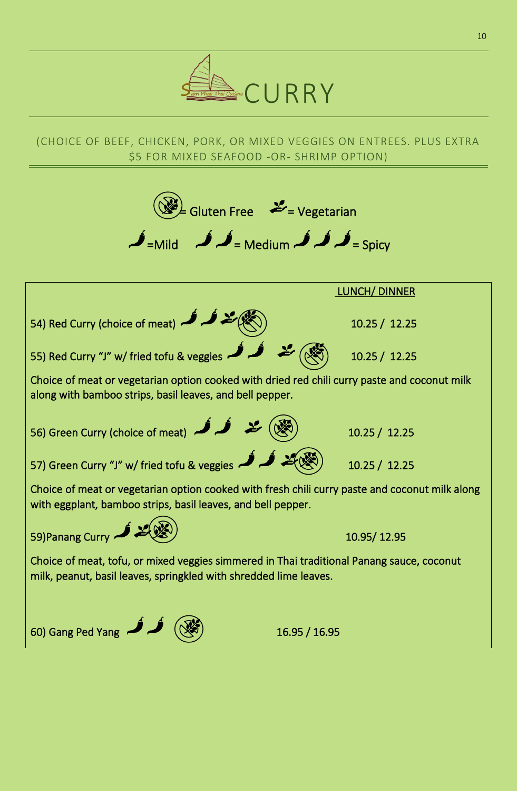

#### (CHOICE OF BEEF, CHICKEN, PORK, OR MIXED VEGGIES ON ENTREES. PLUS EXTRA \$5 FOR MIXED SEAFOOD -OR- SHRIMP OPTION)

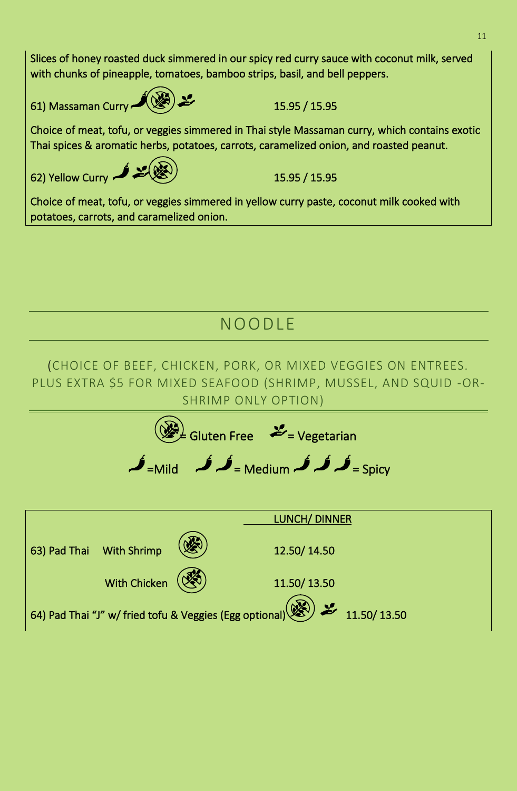Slices of honey roasted duck simmered in our spicy red curry sauce with coconut milk, served with chunks of pineapple, tomatoes, bamboo strips, basil, and bell peppers. 61) Massaman Curry  $\left(\frac{15.95}{15.95}\right)$  15.95 / 15.95 Choice of meat, tofu, or veggies simmered in Thai style Massaman curry, which contains exotic Thai spices & aromatic herbs, potatoes, carrots, caramelized onion, and roasted peanut.

62) Yellow Curry  $\sim$   $\sim$   $\sqrt{3}$ 

Choice of meat, tofu, or veggies simmered in yellow curry paste, coconut milk cooked with potatoes, carrots, and caramelized onion.

## NO O DL E

(CHOICE OF BEEF, CHICKEN, PORK, OR MIXED VEGGIES ON ENTREES. PLUS EXTRA \$5 FOR MIXED SEAFOOD (SHRIMP, MUSSEL, AND SQUID -OR-SHRIMP ONLY OPTION)

$$
\begin{array}{c}\n\text{Given Free} \\
\text{+} \\
\text{+} \\
\text{+} \\
\text{+} \\
\text{+} \\
\text{+} \\
\text{+} \\
\text{+} \\
\text{+} \\
\text{+} \\
\text{+} \\
\text{+} \\
\text{+} \\
\text{+} \\
\text{+} \\
\text{+} \\
\text{+} \\
\text{+} \\
\text{+} \\
\text{+} \\
\text{+} \\
\text{+} \\
\text{+} \\
\text{+} \\
\text{+} \\
\text{+} \\
\text{+} \\
\text{+} \\
\text{+} \\
\text{+} \\
\text{+} \\
\text{+} \\
\text{+} \\
\text{+} \\
\text{+} \\
\text{+} \\
\text{+} \\
\text{+} \\
\text{+} \\
\text{+} \\
\text{+} \\
\text{+} \\
\text{+} \\
\text{+} \\
\text{+} \\
\text{+} \\
\text{+} \\
\text{+} \\
\text{+} \\
\text{+} \\
\text{+} \\
\text{+} \\
\text{+} \\
\text{+} \\
\text{+} \\
\text{+} \\
\text{+} \\
\text{+} \\
\text{+} \\
\text{+} \\
\text{+} \\
\text{+} \\
\text{+} \\
\text{+} \\
\text{+} \\
\text{+} \\
\text{+} \\
\text{+} \\
\text{+} \\
\text{+} \\
\text{+} \\
\text{+} \\
\text{+} \\
\text{+} \\
\text{+} \\
\text{+} \\
\text{+} \\
\text{+} \\
\text{+} \\
\text{+} \\
\text{+} \\
\text{+} \\
\text{+} \\
\text{+} \\
\text{+} \\
\text{+} \\
\text{+} \\
\text{+} \\
\text{+} \\
\text{+} \\
\text{+} \\
\text{+} \\
\text{+} \\
\text{+} \\
\text{+} \\
\text{+} \\
\text{+} \\
\text{+} \\
\text{+} \\
\text{+} \\
\text{+} \\
\text{+} \\
\text{+} \\
\text{+} \\
\text{+} \\
\text{+} \\
\text{+} \\
\text{+} \\
\text{+} \\
\text{+} \\
\text{+} \\
\text{+} \\
\text{+} \\
\text{+} \\
\text{+} \\
\text{+} \\
\text{+} \\
\text{+} \\
\text{+} \\
\text{+} \\
\text{+} \\
\text{+} \\
\text{+} \\
\text{+} \\
\
$$

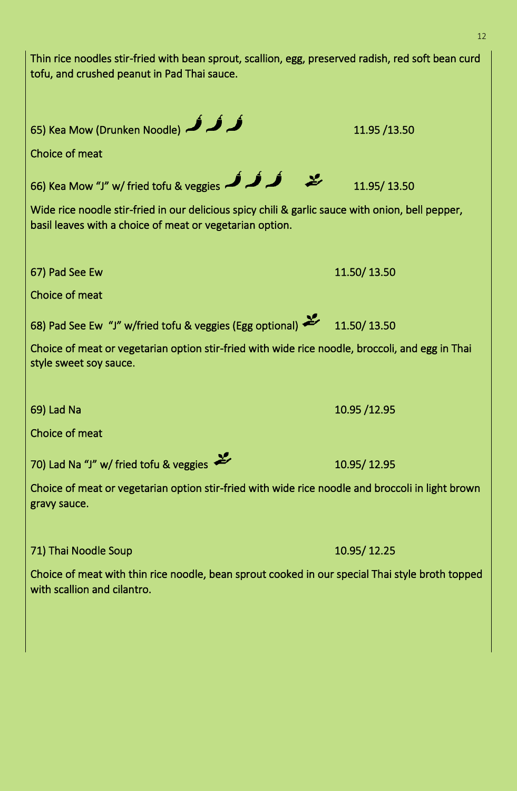| Thin rice noodles stir-fried with bean sprout, scallion, egg, preserved radish, red soft bean curd<br>tofu, and crushed peanut in Pad Thai sauce.            |              |  |
|--------------------------------------------------------------------------------------------------------------------------------------------------------------|--------------|--|
| 65) Kea Mow (Drunken Noodle) هر فر فر                                                                                                                        | 11.95 /13.50 |  |
| Choice of meat                                                                                                                                               |              |  |
| 66) Kea Mow "J" w/ fried tofu & veggies $\rightarrow$                                                                                                        | 11.95/13.50  |  |
| Wide rice noodle stir-fried in our delicious spicy chili & garlic sauce with onion, bell pepper,<br>basil leaves with a choice of meat or vegetarian option. |              |  |
| 67) Pad See Ew                                                                                                                                               | 11.50/13.50  |  |
| Choice of meat                                                                                                                                               |              |  |
| 68) Pad See Ew "J" w/fried tofu & veggies (Egg optional) <                                                                                                   | 11.50/13.50  |  |
| Choice of meat or vegetarian option stir-fried with wide rice noodle, broccoli, and egg in Thai<br>style sweet soy sauce.                                    |              |  |
| 69) Lad Na                                                                                                                                                   | 10.95 /12.95 |  |
| Choice of meat                                                                                                                                               |              |  |
| 70) Lad Na "J" w/ fried tofu & veggies                                                                                                                       | 10.95/12.95  |  |
| Choice of meat or vegetarian option stir-fried with wide rice noodle and broccoli in light brown<br>gravy sauce.                                             |              |  |
| 71) Thai Noodle Soup                                                                                                                                         | 10.95/12.25  |  |

Choice of meat with thin rice noodle, bean sprout cooked in our special Thai style broth topped with scallion and cilantro.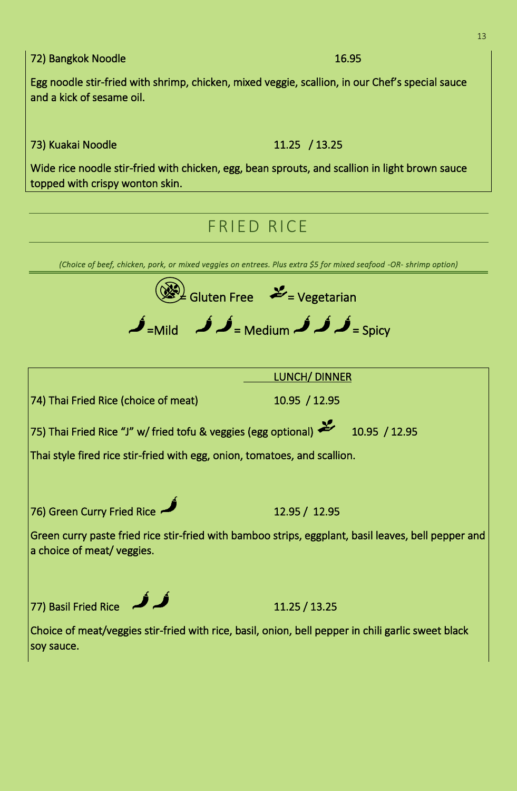72) Bangkok Noodle 16.95

Egg noodle stir-fried with shrimp, chicken, mixed veggie, scallion, in our Chef's special sauce and a kick of sesame oil.

73) Kuakai Noodle 11.25 / 13.25

Wide rice noodle stir-fried with chicken, egg, bean sprouts, and scallion in light brown sauce topped with crispy wonton skin.

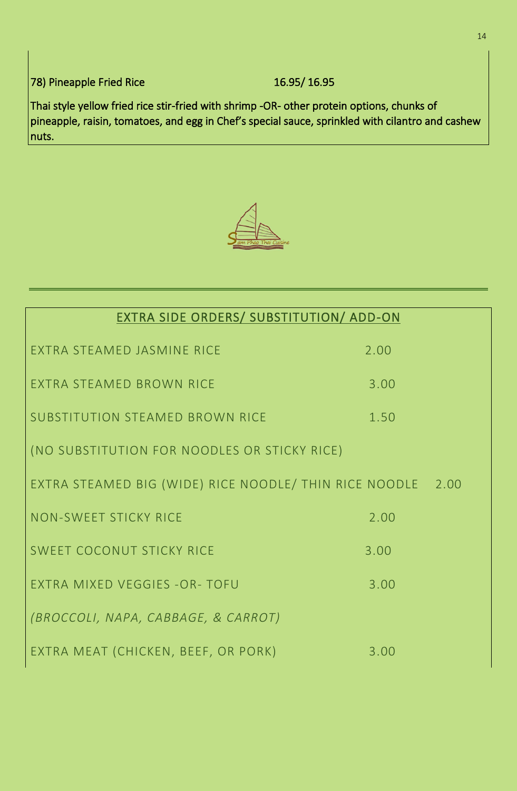$\vert$ 78) Pineapple Fried Rice 16.95/ 16.95

Thai style yellow fried rice stir-fried with shrimp -OR- other protein options, chunks of  $\vert$ pineapple, raisin, tomatoes, and egg in Chef's special sauce, sprinkled with cilantro and cashew nuts.



| EXTRA SIDE ORDERS/ SUBSTITUTION/ ADD-ON                     |      |  |
|-------------------------------------------------------------|------|--|
| <b>FXTRA STFAMFD JASMINF RICF</b>                           | 2.00 |  |
| <b>FXTRA STFAMFD BROWN RICF</b>                             | 3.00 |  |
| SUBSTITUTION STEAMED BROWN RICE                             | 1.50 |  |
| (NO SUBSTITUTION FOR NOODLES OR STICKY RICE)                |      |  |
| EXTRA STEAMED BIG (WIDE) RICE NOODLE/ THIN RICE NOODLE 2.00 |      |  |
| NON-SWEET STICKY RICE                                       | 2.00 |  |
| <b>SWEET COCONUT STICKY RICE</b>                            | 3.00 |  |
| EXTRA MIXED VEGGIES - OR- TOFU                              | 3.00 |  |
| (BROCCOLI, NAPA, CABBAGE, & CARROT)                         |      |  |
| EXTRA MEAT (CHICKEN, BEEF, OR PORK)                         | 3.00 |  |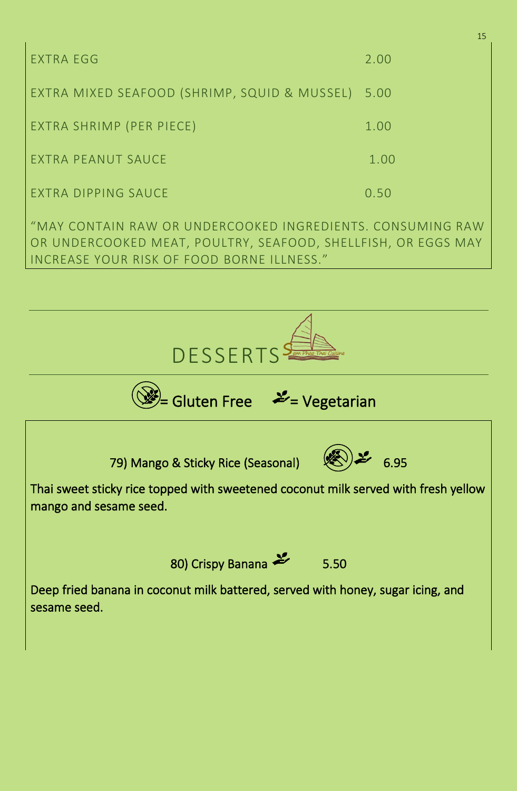| EXTRA EGG                                    | 2.00 |
|----------------------------------------------|------|
| EXTRA MIXED SEAFOOD (SHRIMP, SQUID & MUSSEL) | 5.00 |
| EXTRA SHRIMP (PER PIECE)                     | 1.00 |
| EXTRA PEANUT SAUCE                           | 1.00 |
| EXTRA DIPPING SAUCE                          | 0.50 |

"MAY CONTAIN RAW OR UNDERCOOKED INGREDIENTS. CONSUMING RAW OR UNDERCOOKED MEAT, POULTRY, SEAFOOD, SHELLFISH, OR EGGS MAY INCREASE YOUR RISK OF FOOD BORNE ILLNESS."